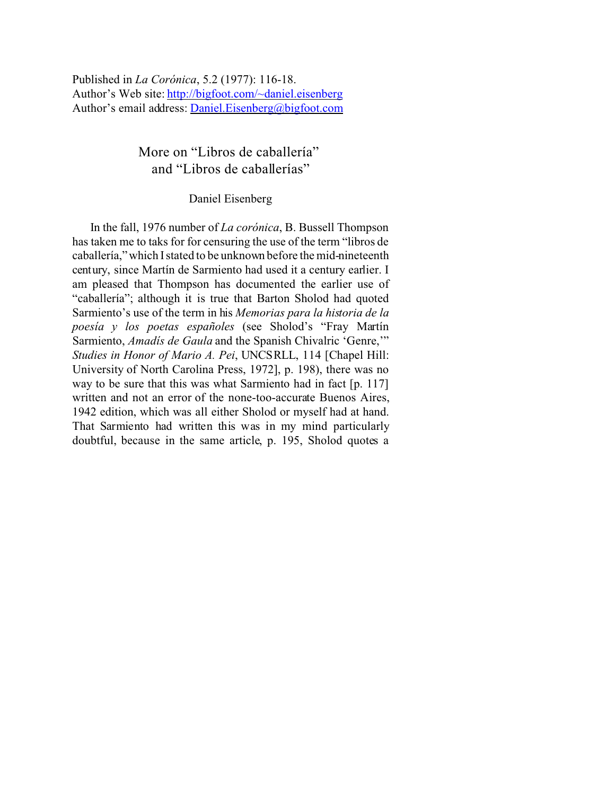Published in *La Corónica*, 5.2 (1977): 116-18. Author's Web site:<http://bigfoot.com/~daniel.eisenberg> Author's email address: Daniel.Eisenberg@bigfoot.com

> More on "Libros de caballería" and "Libros de caballerías"

## Daniel Eisenberg

In the fall, 1976 number of *La corónica*, B. Bussell Thompson has taken me to taks for for censuring the use of the term "libros de caballería," which I stated to be unknown before the mid-nineteenth century, since Martín de Sarmiento had used it a century earlier. I am pleased that Thompson has documented the earlier use of "caballería"; although it is true that Barton Sholod had quoted Sarmiento's use of the term in his *Memorias para la historia de la poesía y los poetas españoles* (see Sholod's "Fray Martín Sarmiento, *Amadís de Gaula* and the Spanish Chivalric 'Genre,'" *Studies in Honor of Mario A. Pei*, UNCSRLL, 114 [Chapel Hill: University of North Carolina Press, 1972], p. 198), there was no way to be sure that this was what Sarmiento had in fact [p. 117] written and not an error of the none-too-accurate Buenos Aires, 1942 edition, which was all either Sholod or myself had at hand. That Sarmiento had written this was in my mind particularly doubtful, because in the same article, p. 195, Sholod quotes a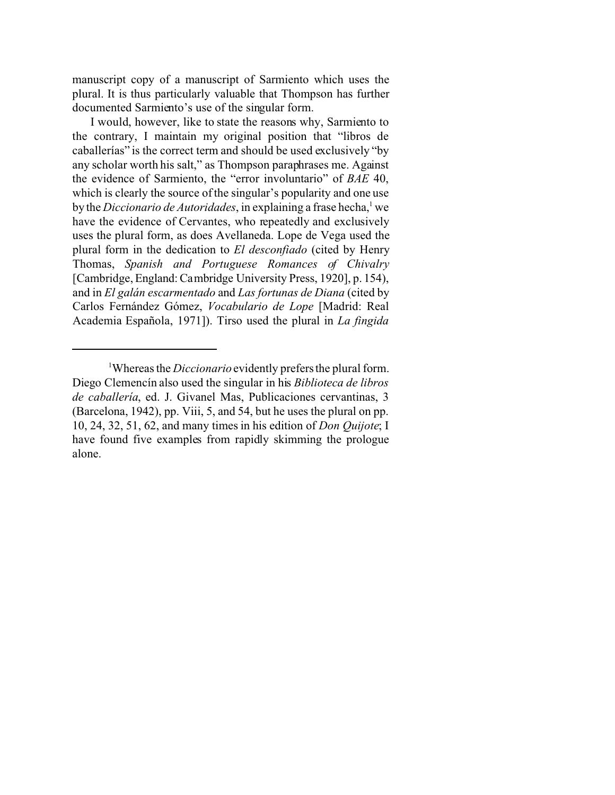manuscript copy of a manuscript of Sarmiento which uses the plural. It is thus particularly valuable that Thompson has further documented Sarmiento's use of the singular form.

I would, however, like to state the reasons why, Sarmiento to the contrary, I maintain my original position that "libros de caballerías" is the correct term and should be used exclusively "by any scholar worth his salt," as Thompson paraphrases me. Against the evidence of Sarmiento, the "error involuntario" of *BAE* 40, which is clearly the source of the singular's popularity and one use by the *Diccionario de Autoridades*, in explaining a frase hecha,<sup>1</sup> we have the evidence of Cervantes, who repeatedly and exclusively uses the plural form, as does Avellaneda. Lope de Vega used the plural form in the dedication to *El desconfiado* (cited by Henry Thomas, *Spanish and Portuguese Romances of Chivalry* [Cambridge, England: Cambridge University Press, 1920], p. 154), and in *El galán escarmentado* and *Las fortunas de Diana* (cited by Carlos Fernández Gómez, *Vocabulario de Lope* [Madrid: Real Academia Española, 1971]). Tirso used the plural in *La fingida*

<sup>1</sup>Whereas the *Diccionario* evidently prefers the plural form. Diego Clemencín also used the singular in his *Biblioteca de libros de caballería*, ed. J. Givanel Mas, Publicaciones cervantinas, 3 (Barcelona, 1942), pp. Viii, 5, and 54, but he uses the plural on pp. 10, 24, 32, 51, 62, and many times in his edition of *Don Quijote*; I have found five examples from rapidly skimming the prologue alone.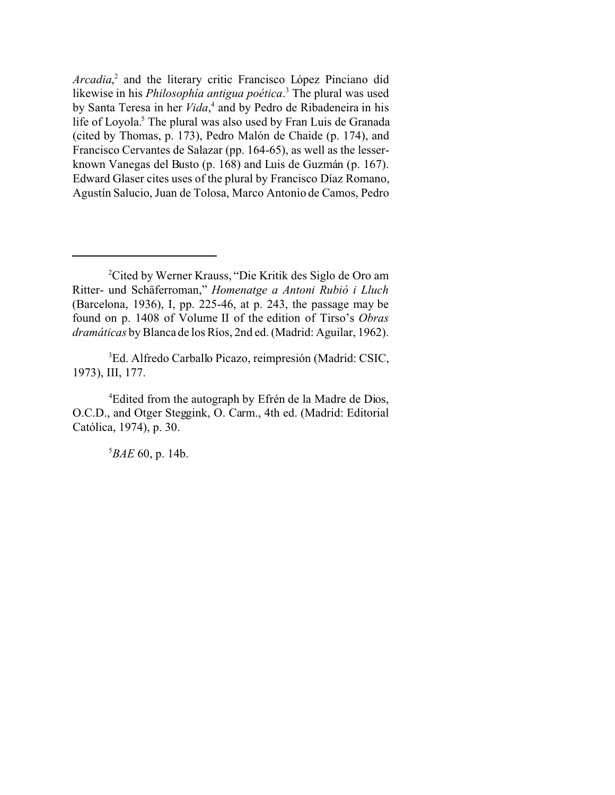*Arcadia*, 2 and the literary critic Francisco López Pinciano did likewise in his *Philosophía antigua poética*. 3 The plural was used by Santa Teresa in her *Vida*, 4 and by Pedro de Ribadeneira in his life of Loyola.<sup>5</sup> The plural was also used by Fran Luis de Granada (cited by Thomas, p. 173), Pedro Malón de Chaide (p. 174), and Francisco Cervantes de Salazar (pp. 164-65), as well as the lesserknown Vanegas del Busto (p. 168) and Luis de Guzmán (p. 167). Edward Glaser cites uses of the plural by Francisco Díaz Romano, Agustín Salucio, Juan de Tolosa, Marco Antonio de Camos, Pedro

<sup>3</sup>Ed. Alfredo Carballo Picazo, reimpresión (Madrid: CSIC, 1973), III, 177.

<sup>4</sup>Edited from the autograph by Efrén de la Madre de Dios, O.C.D., and Otger Steggink, O. Carm., 4th ed. (Madrid: Editorial Católica, 1974), p. 30.

<sup>5</sup>*BAE* 60, p. 14b.

<sup>2</sup>Cited by Werner Krauss, "Die Kritik des Siglo de Oro am Ritter- und Schäferroman," *Homenatge a Antoni Rubió i Lluch* (Barcelona, 1936), I, pp. 225-46, at p. 243, the passage may be found on p. 1408 of Volume II of the edition of Tirso's *Obras dramáticas* by Blanca de los Ríos, 2nd ed. (Madrid: Aguilar, 1962).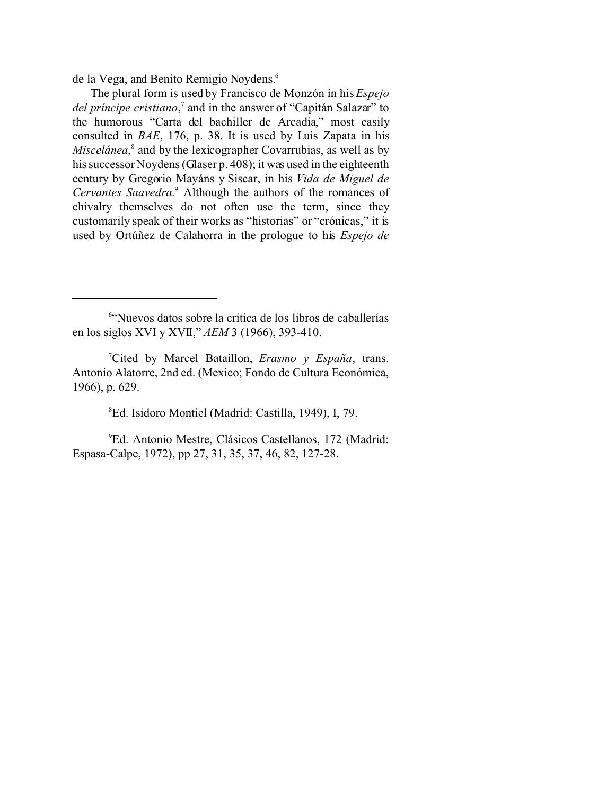de la Vega, and Benito Remigio Noydens.<sup>6</sup>

The plural form is used by Francisco de Monzón in his *Espejo del príncipe cristiano*, 7 and in the answer of "Capitán Salazar" to the humorous "Carta del bachiller de Arcadia," most easily consulted in *BAE*, 176, p. 38. It is used by Luis Zapata in his Miscelánea,<sup>8</sup> and by the lexicographer Covarrubias, as well as by his successor Noydens (Glaser p. 408); it was used in the eighteenth century by Gregorio Mayáns y Siscar, in his *Vida de Miguel de Cervantes Saavedra*. 9 Although the authors of the romances of chivalry themselves do not often use the term, since they customarily speak of their works as "historias" or "crónicas," it is used by Ortúñez de Calahorra in the prologue to his *Espejo de*

<sup>8</sup>Ed. Isidoro Montiel (Madrid: Castilla, 1949), I, 79.

<sup>9</sup>Ed. Antonio Mestre, Clásicos Castellanos, 172 (Madrid: Espasa-Calpe, 1972), pp 27, 31, 35, 37, 46, 82, 127-28.

<sup>6</sup> "Nuevos datos sobre la crítica de los libros de caballerías en los siglos XVI y XVII," *AEM* 3 (1966), 393-410.

<sup>7</sup>Cited by Marcel Bataillon, *Erasmo y España*, trans. Antonio Alatorre, 2nd ed. (Mexico; Fondo de Cultura Económica, 1966), p. 629.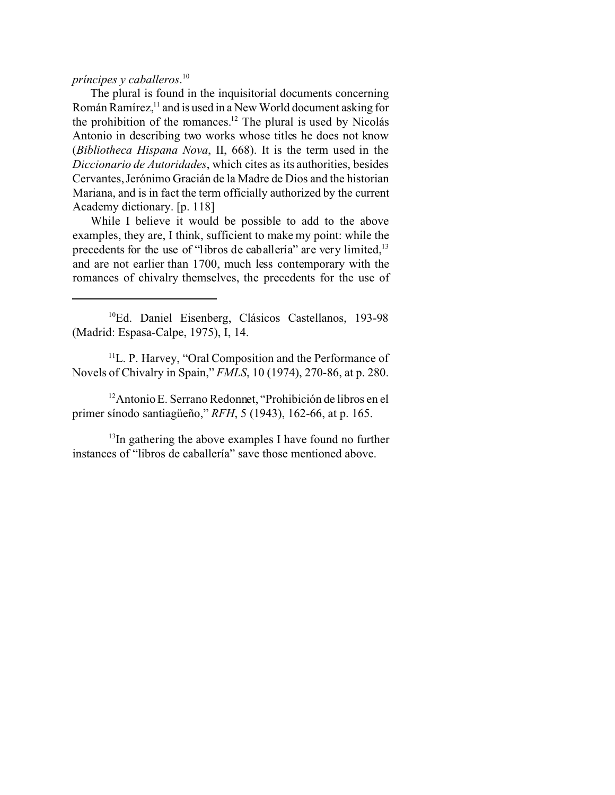## *príncipes y caballeros*. 10

The plural is found in the inquisitorial documents concerning Román Ramírez,<sup>11</sup> and is used in a New World document asking for the prohibition of the romances.<sup>12</sup> The plural is used by Nicolás Antonio in describing two works whose titles he does not know (*Bibliotheca Hispana Nova*, II, 668). It is the term used in the *Diccionario de Autoridades*, which cites as its authorities, besides Cervantes, Jerónimo Gracián de la Madre de Dios and the historian Mariana, and is in fact the term officially authorized by the current Academy dictionary. [p. 118]

While I believe it would be possible to add to the above examples, they are, I think, sufficient to make my point: while the precedents for the use of "libros de caballería" are very limited,<sup>13</sup> and are not earlier than 1700, much less contemporary with the romances of chivalry themselves, the precedents for the use of

<sup>10</sup>Ed. Daniel Eisenberg, Clásicos Castellanos, 193-98 (Madrid: Espasa-Calpe, 1975), I, 14.

 $11$ L. P. Harvey, "Oral Composition and the Performance of Novels of Chivalry in Spain," *FMLS*, 10 (1974), 270-86, at p. 280.

<sup>12</sup>Antonio E. Serrano Redonnet, "Prohibición de libros en el primer sínodo santiagüeño," *RFH*, 5 (1943), 162-66, at p. 165.

 $13$ In gathering the above examples I have found no further instances of "libros de caballería" save those mentioned above.